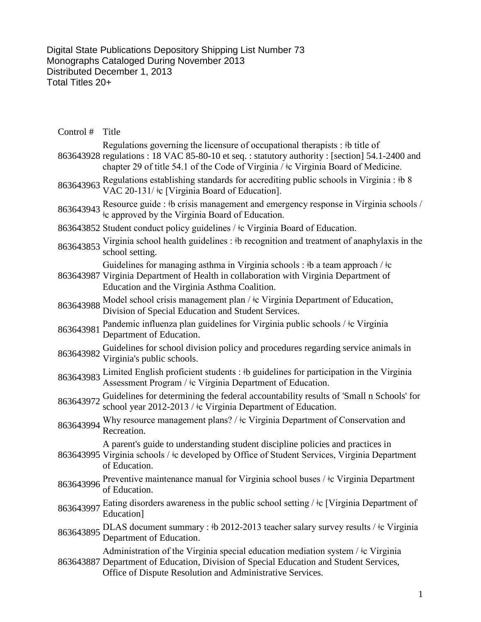Digital State Publications Depository Shipping List Number 73 Monographs Cataloged During November 2013 Distributed December 1, 2013 Total Titles 20+

| Control # | Title                                                                                                                                                                                                                                                             |
|-----------|-------------------------------------------------------------------------------------------------------------------------------------------------------------------------------------------------------------------------------------------------------------------|
|           | Regulations governing the licensure of occupational therapists : #b title of<br>863643928 regulations: 18 VAC 85-80-10 et seq.: statutory authority: [section] 54.1-2400 and<br>chapter 29 of title 54.1 of the Code of Virginia / ‡c Virginia Board of Medicine. |
|           | 863643963 Regulations establishing standards for accrediting public schools in Virginia : #b 8<br>VAC 20-131/ <sup>‡</sup> c [Virginia Board of Education].                                                                                                       |
|           | 863643943 Resource guide : #b crisis management and emergency response in Virginia schools /<br>the approved by the Virginia Board of Education.                                                                                                                  |
|           | 863643852 Student conduct policy guidelines / ‡c Virginia Board of Education.                                                                                                                                                                                     |
|           | 863643853 Virginia school health guidelines : #b recognition and treatment of anaphylaxis in the<br>school setting.                                                                                                                                               |
|           | Guidelines for managing asthma in Virginia schools : $\theta$ a team approach / $\pm$ c<br>863643987 Virginia Department of Health in collaboration with Virginia Department of<br>Education and the Virginia Asthma Coalition.                                   |
| 863643988 | Model school crisis management plan / $\frac{1}{2}$ c Virginia Department of Education,<br>Division of Special Education and Student Services.                                                                                                                    |
| 863643981 | Pandemic influenza plan guidelines for Virginia public schools / $\pm c$ Virginia<br>Department of Education.                                                                                                                                                     |
| 863643982 | Guidelines for school division policy and procedures regarding service animals in<br>Virginia's public schools.                                                                                                                                                   |
| 863643983 | Limited English proficient students : #b guidelines for participation in the Virginia<br>Assessment Program / $\pm c$ Virginia Department of Education.                                                                                                           |
| 863643972 | Guidelines for determining the federal accountability results of 'Small n Schools' for<br>school year 2012-2013 / ‡c Virginia Department of Education.                                                                                                            |
| 863643994 | Why resource management plans? / ‡c Virginia Department of Conservation and<br>Recreation.                                                                                                                                                                        |
|           | A parent's guide to understanding student discipline policies and practices in<br>863643995 Virginia schools / ‡c developed by Office of Student Services, Virginia Department<br>of Education.                                                                   |
| 863643996 | Preventive maintenance manual for Virginia school buses / ‡c Virginia Department<br>of Education.                                                                                                                                                                 |
| 863643997 | Eating disorders awareness in the public school setting $\frac{1}{k}$ [Virginia Department of<br>Education]                                                                                                                                                       |
|           | 863643895 DLAS document summary : #b 2012-2013 teacher salary survey results / $\pm$ c Virginia<br>Department of Education.                                                                                                                                       |
|           | Administration of the Virginia special education mediation system / <sup>†</sup> c Virginia<br>863643887 Department of Education, Division of Special Education and Student Services,<br>Office of Dispute Resolution and Administrative Services.                |